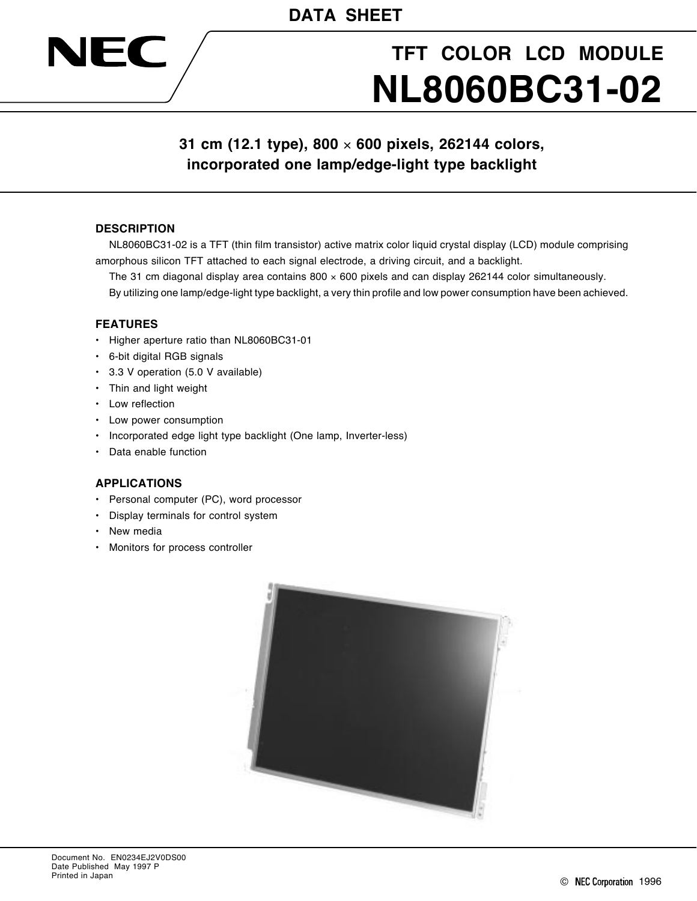# **TFT COLOR LCD MODULE NL8060BC31-02**

# **31 cm (12.1 type), 800** × **600 pixels, 262144 colors, incorporated one lamp/edge-light type backlight**

# **DESCRIPTION**

JEC

NL8060BC31-02 is a TFT (thin film transistor) active matrix color liquid crystal display (LCD) module comprising amorphous silicon TFT attached to each signal electrode, a driving circuit, and a backlight.

The 31 cm diagonal display area contains  $800 \times 600$  pixels and can display 262144 color simultaneously.

By utilizing one lamp/edge-light type backlight, a very thin profile and low power consumption have been achieved.

#### **FEATURES**

- Higher aperture ratio than NL8060BC31-01
- 6-bit digital RGB signals
- 3.3 V operation (5.0 V available)
- Thin and light weight
- Low reflection
- Low power consumption
- Incorporated edge light type backlight (One lamp, Inverter-less)
- Data enable function

# **APPLICATIONS**

- Personal computer (PC), word processor
- Display terminals for control system
- New media
- Monitors for process controller

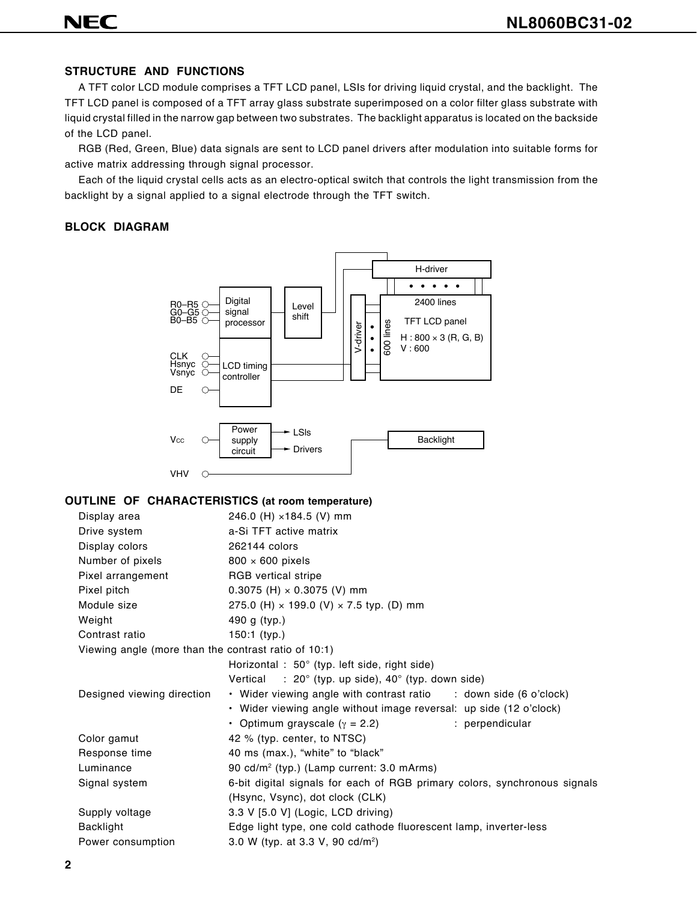# **NEC**

# **STRUCTURE AND FUNCTIONS**

A TFT color LCD module comprises a TFT LCD panel, LSIs for driving liquid crystal, and the backlight. The TFT LCD panel is composed of a TFT array glass substrate superimposed on a color filter glass substrate with liquid crystal filled in the narrow gap between two substrates. The backlight apparatus is located on the backside of the LCD panel.

RGB (Red, Green, Blue) data signals are sent to LCD panel drivers after modulation into suitable forms for active matrix addressing through signal processor.

Each of the liquid crystal cells acts as an electro-optical switch that controls the light transmission from the backlight by a signal applied to a signal electrode through the TFT switch.

# **BLOCK DIAGRAM**



#### **OUTLINE OF CHARACTERISTICS (at room temperature)**

| Display area                                         | 246.0 (H) ×184.5 (V) mm                                                   |
|------------------------------------------------------|---------------------------------------------------------------------------|
| Drive system                                         | a-Si TFT active matrix                                                    |
| Display colors                                       | 262144 colors                                                             |
| Number of pixels                                     | $800 \times 600$ pixels                                                   |
| Pixel arrangement                                    | <b>RGB</b> vertical stripe                                                |
| Pixel pitch                                          | $0.3075$ (H) $\times$ 0.3075 (V) mm                                       |
| Module size                                          | 275.0 (H) × 199.0 (V) × 7.5 typ. (D) mm                                   |
| Weight                                               | 490 g (typ.)                                                              |
| Contrast ratio                                       | $150:1$ (typ.)                                                            |
| Viewing angle (more than the contrast ratio of 10:1) |                                                                           |
|                                                      | Horizontal : $50^\circ$ (typ. left side, right side)                      |
|                                                      | Vertical : $20^{\circ}$ (typ. up side), $40^{\circ}$ (typ. down side)     |
| Designed viewing direction                           | • Wider viewing angle with contrast ratio : down side (6 o'clock)         |
|                                                      | • Wider viewing angle without image reversal: up side (12 o'clock)        |
|                                                      | • Optimum grayscale ( $\gamma$ = 2.2)<br>: perpendicular                  |
| Color gamut                                          | 42 % (typ. center, to NTSC)                                               |
| Response time                                        | 40 ms (max.), "white" to "black"                                          |
| Luminance                                            | 90 cd/m <sup>2</sup> (typ.) (Lamp current: 3.0 mArms)                     |
| Signal system                                        | 6-bit digital signals for each of RGB primary colors, synchronous signals |
|                                                      | (Hsync, Vsync), dot clock (CLK)                                           |
| Supply voltage                                       | 3.3 V [5.0 V] (Logic, LCD driving)                                        |
| Backlight                                            | Edge light type, one cold cathode fluorescent lamp, inverter-less         |
| Power consumption                                    | 3.0 W (typ. at 3.3 V, 90 cd/m <sup>2</sup> )                              |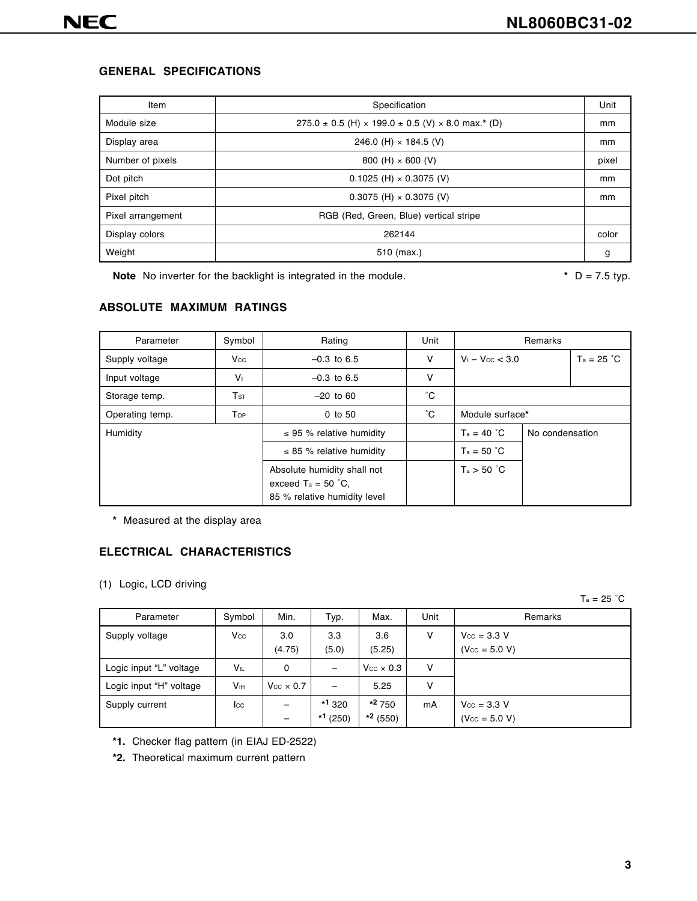# **GENERAL SPECIFICATIONS**

| Item              | Specification                                                           | Unit  |
|-------------------|-------------------------------------------------------------------------|-------|
| Module size       | $275.0 \pm 0.5$ (H) $\times$ 199.0 $\pm$ 0.5 (V) $\times$ 8.0 max.* (D) | mm    |
| Display area      | 246.0 (H) $\times$ 184.5 (V)                                            | mm    |
| Number of pixels  | 800 (H) $\times$ 600 (V)                                                | pixel |
| Dot pitch         | $0.1025$ (H) $\times$ 0.3075 (V)                                        | mm    |
| Pixel pitch       | $0.3075$ (H) $\times$ 0.3075 (V)                                        | mm    |
| Pixel arrangement | RGB (Red, Green, Blue) vertical stripe                                  |       |
| Display colors    | 262144                                                                  | color |
| Weight            | 510 (max.)                                                              | g     |

**Note** No inverter for the backlight is integrated in the module. **\*** D = 7.5 typ.

# **ABSOLUTE MAXIMUM RATINGS**

| Parameter       | Symbol          | Rating                                                                               | Unit   | Remarks              |                 |              |  |
|-----------------|-----------------|--------------------------------------------------------------------------------------|--------|----------------------|-----------------|--------------|--|
| Supply voltage  | Vcc             | $-0.3$ to 6.5                                                                        | $\vee$ | $V_1 - V_{CC} < 3.0$ |                 | $Ta = 25 °C$ |  |
| Input voltage   | V <sub>1</sub>  | $-0.3$ to 6.5                                                                        | V      |                      |                 |              |  |
| Storage temp.   | T <sub>ST</sub> | $-20$ to 60                                                                          | °С     |                      |                 |              |  |
| Operating temp. | Top             | $0$ to 50                                                                            | °С     | Module surface*      |                 |              |  |
| Humidity        |                 | $\leq$ 95 % relative humidity                                                        |        | $T_a = 40 °C$        | No condensation |              |  |
|                 |                 | $\leq$ 85 % relative humidity                                                        |        | $T_a = 50 °C$        |                 |              |  |
|                 |                 | Absolute humidity shall not<br>exceed $Ta = 50 °C$ .<br>85 % relative humidity level |        | Ta > 50 °C           |                 |              |  |

**\*** Measured at the display area

## **ELECTRICAL CHARACTERISTICS**

(1) Logic, LCD driving

 $Ta = 25 °C$ 

| Parameter               | Symbol      | Min.                    | Typ.                 | Max.                   | Unit | Remarks                                               |
|-------------------------|-------------|-------------------------|----------------------|------------------------|------|-------------------------------------------------------|
| Supply voltage          | Vcc         | 3.0<br>(4.75)           | 3.3<br>(5.0)         | 3.6<br>(5.25)          | ٧    | $V_{\text{CC}} = 3.3 \text{ V}$<br>$(V_{CC} = 5.0 V)$ |
| Logic input "L" voltage | VIL         | 0                       | —                    | $V_{CC} \times 0.3$    | ٧    |                                                       |
| Logic input "H" voltage | Vıн         | $V_{\rm CC} \times 0.7$ |                      | 5.25                   | v    |                                                       |
| Supply current          | <b>I</b> cc |                         | $*1320$<br>$*1(250)$ | $*2750$<br>$*^2$ (550) | mA   | $V_{\text{CC}} = 3.3 V$<br>$(V_{CC} = 5.0 V)$         |

- **\*1.** Checker flag pattern (in EIAJ ED-2522)
- **\*2.** Theoretical maximum current pattern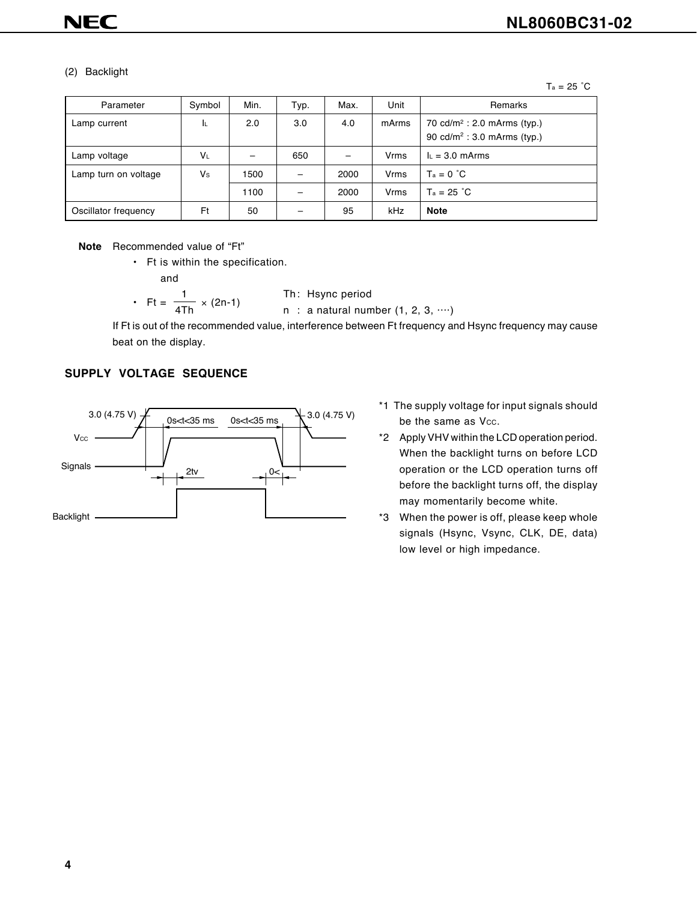#### (2) Backlight

 $Ta = 25 °C$ 

| Parameter            | Symbol | Min. | Typ. | Max. | Unit  | Remarks                                                                            |
|----------------------|--------|------|------|------|-------|------------------------------------------------------------------------------------|
| Lamp current         | ΙL     | 2.0  | 3.0  | 4.0  | mArms | 70 cd/m <sup>2</sup> : 2.0 mArms (typ.)<br>90 cd/m <sup>2</sup> : 3.0 mArms (typ.) |
| Lamp voltage         | VL     |      | 650  |      | Vrms  | $L = 3.0$ mArms                                                                    |
| Lamp turn on voltage | Vs     | 1500 |      | 2000 | Vrms  | $T_a = 0 °C$                                                                       |
|                      |        | 1100 |      | 2000 | Vrms  | $Ta = 25 °C$                                                                       |
| Oscillator frequency | Ft     | 50   |      | 95   | kHz   | <b>Note</b>                                                                        |

**Note** Recommended value of "Ft"

• Ft is within the specification.

and

• 
$$
Ft = \frac{1}{4Th} \times (2n-1)
$$
  
•  $Ft = \frac{1}{4Th} \times (2n-1)$   
•  $n : a natural num$ 

 $l$  ral number  $(1, 2, 3, \cdots)$ 

If Ft is out of the recommended value, interference between Ft frequency and Hsync frequency may cause beat on the display.

#### **SUPPLY VOLTAGE SEQUENCE**



- \*1 The supply voltage for input signals should be the same as Vcc.
- \*2 Apply VHV within the LCD operation period. When the backlight turns on before LCD operation or the LCD operation turns off before the backlight turns off, the display may momentarily become white.
- \*3 When the power is off, please keep whole signals (Hsync, Vsync, CLK, DE, data) low level or high impedance.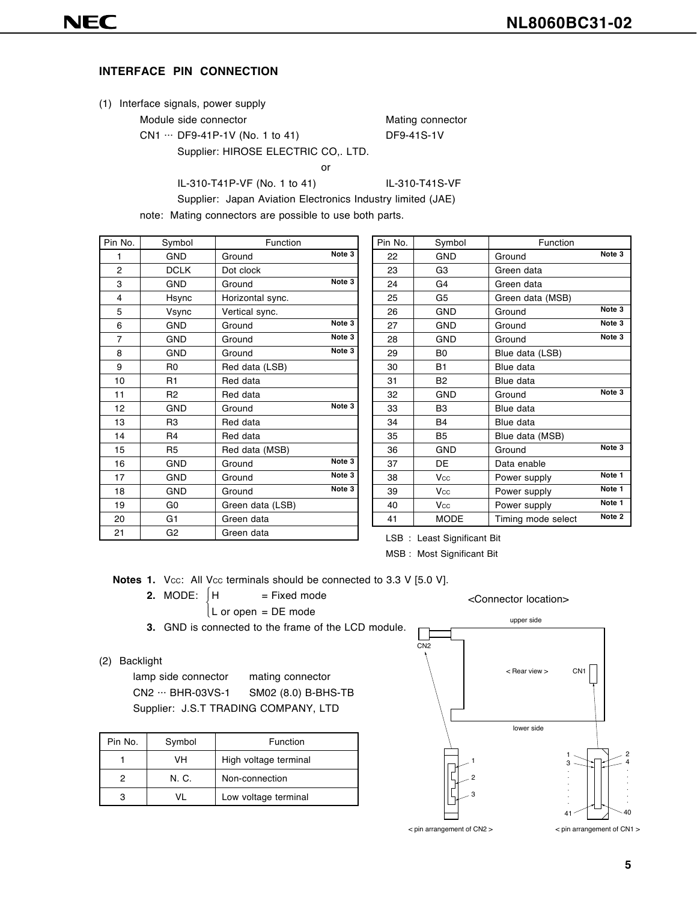#### **INTERFACE PIN CONNECTION**

|  | (1) Interface signals, power supply |  |  |
|--|-------------------------------------|--|--|

Module side connector Mating connector

CN1 ... DF9-41P-1V (No. 1 to 41) DF9-41S-1V

Supplier: HIROSE ELECTRIC CO,. LTD.

or and the contract of the contract of the contract of the contract of the contract of the contract of the con

IL-310-T41P-VF (No. 1 to 41) IL-310-T41S-VF

Supplier: Japan Aviation Electronics Industry limited (JAE)

note: Mating connectors are possible to use both parts.

| Pin No. | Symbol         | Function         |                   |
|---------|----------------|------------------|-------------------|
| 1       | <b>GND</b>     | Ground           | Note 3            |
| 2       | <b>DCLK</b>    | Dot clock        |                   |
| 3       | <b>GND</b>     | Ground           | Note 3            |
| 4       | Hsync          | Horizontal sync. |                   |
| 5       | Vsync          | Vertical sync.   |                   |
| 6       | <b>GND</b>     | Ground           | Note 3            |
| 7       | <b>GND</b>     | Ground           | Note <sub>3</sub> |
| 8       | <b>GND</b>     | Ground           | Note 3            |
| 9       | R <sub>0</sub> | Red data (LSB)   |                   |
| 10      | R <sub>1</sub> | Red data         |                   |
| 11      | R <sub>2</sub> | Red data         |                   |
| 12      | <b>GND</b>     | Ground           | Note <sub>3</sub> |
| 13      | R <sub>3</sub> | Red data         |                   |
| 14      | R4             | Red data         |                   |
| 15      | R <sub>5</sub> | Red data (MSB)   |                   |
| 16      | <b>GND</b>     | Ground           | Note 3            |
| 17      | <b>GND</b>     | Ground           | Note 3            |
| 18      | <b>GND</b>     | Ground           | Note 3            |
| 19      | G <sub>0</sub> | Green data (LSB) |                   |
| 20      | G <sub>1</sub> | Green data       |                   |
| 21      | G <sub>2</sub> | Green data       |                   |

| Pin No. | Symbol         | Function           |                   |
|---------|----------------|--------------------|-------------------|
| 22      | GND            | Ground             | Note 3            |
| 23      | G3             | Green data         |                   |
| 24      | G4             | Green data         |                   |
| 25      | G5             | Green data (MSB)   |                   |
| 26      | <b>GND</b>     | Ground             | Note 3            |
| 27      | <b>GND</b>     | Ground             | Note 3            |
| 28      | <b>GND</b>     | Ground             | Note 3            |
| 29      | B <sub>0</sub> | Blue data (LSB)    |                   |
| 30      | <b>B1</b>      | Blue data          |                   |
| 31      | B <sub>2</sub> | Blue data          |                   |
| 32      | <b>GND</b>     | Ground             | Note <sub>3</sub> |
| 33      | B <sub>3</sub> | Blue data          |                   |
| 34      | <b>B4</b>      | Blue data          |                   |
| 35      | <b>B5</b>      | Blue data (MSB)    |                   |
| 36      | GND            | Ground             | Note <sub>3</sub> |
| 37      | DE             | Data enable        |                   |
| 38      | Vcc            | Power supply       | Note 1            |
| 39      | Vcc            | Power supply       | Note 1            |
| 40      | Vcc            | Power supply       | Note 1            |
| 41      | <b>MODE</b>    | Timing mode select | Note 2            |

LSB : Least Significant Bit

MSB : Most Significant Bit

**Notes 1.** Vcc: All Vcc terminals should be connected to 3.3 V [5.0 V].

**2.** MODE:  $\begin{cases} H & = \text{Fixed mode} \end{cases}$ ſ

L or open = DE mode

**3.** GND is connected to the frame of the LCD module.

#### (2) Backlight

lamp side connector mating connector CN2 ··· BHR-03VS-1 SM02 (8.0) B-BHS-TB Supplier: J.S.T TRADING COMPANY, LTD

| Pin No. | Symbol | Function              |
|---------|--------|-----------------------|
|         | VH     | High voltage terminal |
|         | N C    | Non-connection        |
|         |        | Low voltage terminal  |



<Connector location>

**5**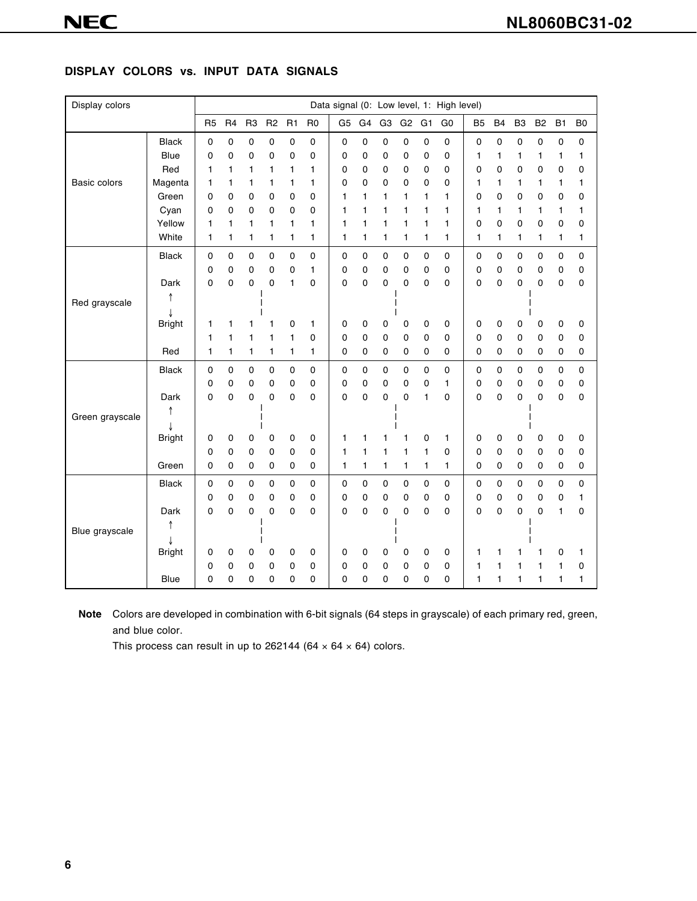# **DISPLAY COLORS vs. INPUT DATA SIGNALS**

| Display colors  |               |                |                |                |                |                |                |                |    |                |                |                | Data signal (0: Low level, 1: High level) |                |                |                |           |              |                |
|-----------------|---------------|----------------|----------------|----------------|----------------|----------------|----------------|----------------|----|----------------|----------------|----------------|-------------------------------------------|----------------|----------------|----------------|-----------|--------------|----------------|
|                 |               | R <sub>5</sub> | R <sub>4</sub> | R <sub>3</sub> | R <sub>2</sub> | R <sub>1</sub> | R <sub>0</sub> | G <sub>5</sub> | G4 | G <sub>3</sub> | G <sub>2</sub> | G <sub>1</sub> | G <sub>0</sub>                            | B <sub>5</sub> | B <sub>4</sub> | B <sub>3</sub> | <b>B2</b> | <b>B1</b>    | B <sub>0</sub> |
|                 | <b>Black</b>  | 0              | 0              | 0              | 0              | 0              | 0              | 0              | 0  | 0              | 0              | 0              | $\pmb{0}$                                 | $\mathsf 0$    | 0              | 0              | 0         | 0            | $\pmb{0}$      |
|                 | <b>Blue</b>   | 0              | $\mathbf 0$    | 0              | 0              | 0              | 0              | 0              | 0  | 0              | 0              | 0              | 0                                         | 1              | 1              | 1              | 1         | $\mathbf{1}$ | 1              |
|                 | Red           | 1              | 1              | 1              | 1              | 1              | 1              | 0              | 0  | 0              | 0              | 0              | 0                                         | 0              | 0              | 0              | 0         | 0            | 0              |
| Basic colors    | Magenta       | 1              | 1              | 1              | 1              | 1              | 1              | 0              | 0  | 0              | 0              | 0              | 0                                         | 1              | 1              | 1              | 1         | 1            | 1              |
|                 | Green         | 0              | 0              | 0              | 0              | 0              | 0              | 1              | 1  | 1              | 1              | 1              | $\mathbf{1}$                              | 0              | 0              | 0              | 0         | 0            | 0              |
|                 | Cyan          | 0              | 0              | 0              | 0              | 0              | 0              | 1              | 1  | 1              | 1              | 1              | $\mathbf{1}$                              | 1              | 1              | 1              | 1         | 1            | 1              |
|                 | Yellow        | 1              | 1              | 1              | 1              | 1              | 1              | 1              | 1  | 1              | 1              | 1              | 1                                         | 0              | 0              | 0              | 0         | 0            | 0              |
|                 | White         | 1              | 1              | 1              | 1              | 1              | 1              | 1              | 1  | 1              | 1              | 1              | 1                                         | 1              | 1              | 1              | 1         | 1            | 1              |
|                 | <b>Black</b>  | 0              | $\mathbf 0$    | 0              | 0              | $\mathbf 0$    | 0              | 0              | 0  | 0              | 0              | 0              | 0                                         | 0              | 0              | $\mathsf 0$    | 0         | 0            | $\pmb{0}$      |
|                 |               | 0              | 0              | 0              | 0              | 0              | 1              | $\mathbf 0$    | 0  | 0              | 0              | 0              | 0                                         | 0              | 0              | 0              | 0         | 0            | 0              |
|                 | Dark          | 0              | 0              | 0              | $\mathbf 0$    | 1              | 0              | 0              | 0  | 0              | 0              | 0              | 0                                         | 0              | 0              | 0              | 0         | $\mathbf 0$  | 0              |
| Red grayscale   |               |                |                |                |                |                |                |                |    |                |                |                |                                           |                |                |                |           |              |                |
|                 |               |                |                |                |                |                |                |                |    |                |                |                |                                           |                |                |                |           |              |                |
|                 | <b>Bright</b> | 1              | 1              | 1              | 1              | 0              | 1              | 0              | 0  | 0              | 0              | 0              | 0                                         | 0              | 0              | 0              | 0         | 0            | 0              |
|                 |               | 1              | 1              | 1              | 1              | 1              | 0              | 0              | 0  | 0              | 0              | 0              | 0                                         | 0              | 0              | 0              | 0         | 0            | 0              |
|                 | Red           | 1              | 1              | 1              | 1              | 1              | 1              | 0              | 0  | 0              | 0              | 0              | 0                                         | 0              | 0              | $\mathbf 0$    | 0         | 0            | 0              |
|                 | <b>Black</b>  | 0              | $\mathbf 0$    | 0              | 0              | $\pmb{0}$      | 0              | $\pmb{0}$      | 0  | 0              | 0              | $\mathbf 0$    | $\pmb{0}$                                 | $\pmb{0}$      | 0              | $\pmb{0}$      | 0         | $\pmb{0}$    | $\pmb{0}$      |
|                 |               | 0              | 0              | 0              | 0              | 0              | 0              | 0              | 0  | 0              | 0              | 0              | 1                                         | 0              | 0              | 0              | 0         | 0            | 0              |
|                 | Dark          | 0              | 0              | $\mathbf 0$    | 0              | 0              | 0              | 0              | 0  | 0              | 0              | 1              | 0                                         | 0              | 0              | 0              | 0         | 0            | 0              |
| Green grayscale |               |                |                |                |                |                |                |                |    |                |                |                |                                           |                |                |                |           |              |                |
|                 |               |                |                |                |                |                |                |                |    |                |                |                |                                           |                |                |                |           |              |                |
|                 | <b>Bright</b> | 0              | 0              | 0              | 0              | 0              | 0              | 1              | 1  | 1              | 1              | 0              | 1                                         | 0              | 0              | 0              | 0         | 0            | 0              |
|                 |               | 0              | 0              | 0              | 0              | 0              | 0              | 1              | 1  | 1              | 1              | 1              | 0                                         | 0              | 0              | 0              | 0         | 0            | 0              |
|                 | Green         | 0              | 0              | 0              | 0              | 0              | 0              | 1              | 1  | 1              | 1              | 1              | $\mathbf{1}$                              | 0              | 0              | 0              | 0         | 0            | 0              |
|                 | <b>Black</b>  | 0              | 0              | 0              | 0              | $\mathbf 0$    | 0              | 0              | 0  | 0              | 0              | 0              | 0                                         | $\pmb{0}$      | 0              | $\mathsf 0$    | 0         | $\mathsf 0$  | $\mathbf 0$    |
|                 |               | 0              | 0              | 0              | 0              | 0              | 0              | 0              | 0  | 0              | 0              | 0              | 0                                         | 0              | 0              | 0              | 0         | 0            | 1              |
| Blue grayscale  | Dark          | 0              | 0              | 0              | 0              | 0              | 0              | 0              | 0  | 0              | 0              | 0              | 0                                         | 0              | 0              | 0              | 0         | 1            | 0              |
|                 |               |                |                |                |                |                |                |                |    |                |                |                |                                           |                |                |                |           |              |                |
|                 |               |                |                |                |                |                |                |                |    |                |                |                |                                           |                |                |                |           |              |                |
|                 | <b>Bright</b> | 0              | 0              | 0              | 0              | 0              | 0              | 0              | 0  | 0              | 0              | 0              | 0                                         | $\mathbf{1}$   | 1              |                | 1         | 0            | 1              |
|                 |               | 0              | 0              | 0              | 0              | 0              | 0              | 0              | 0  | 0              | 0              | 0              | 0                                         | 1              | 1              | 1              | 1         | $\mathbf{1}$ | 0              |
|                 | Blue          | 0              | 0              | 0              | 0              | 0              | 0              | 0              | 0  | 0              | 0              | 0              | 0                                         | $\mathbf{1}$   | 1              | 1              | 1         | 1            | 1              |

**Note** Colors are developed in combination with 6-bit signals (64 steps in grayscale) of each primary red, green, and blue color.

This process can result in up to 262144 (64  $\times$  64  $\times$  64) colors.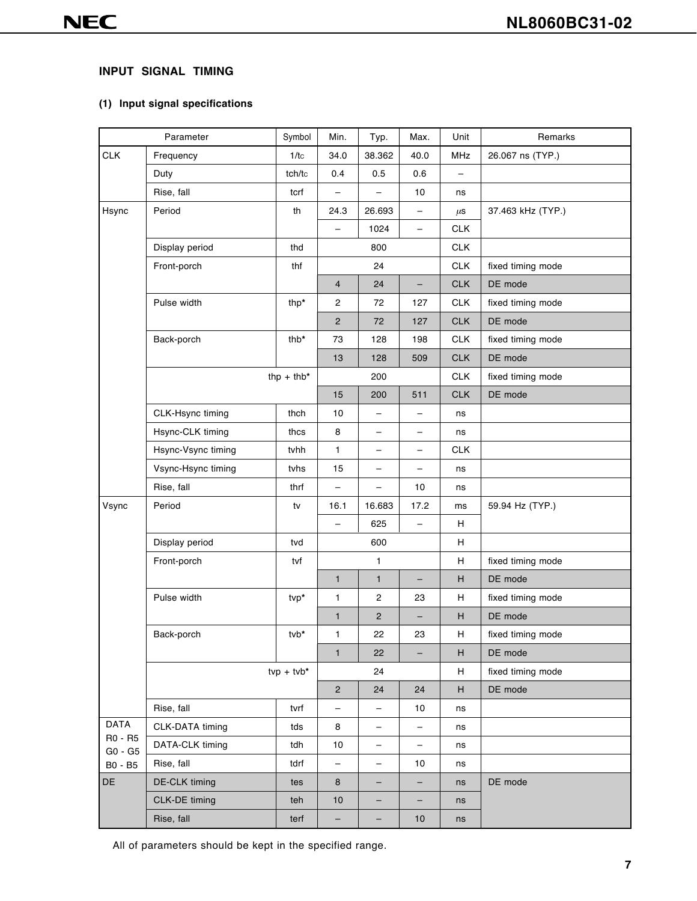# **INPUT SIGNAL TIMING**

# **(1) Input signal specifications**

|                    | Parameter          | Symbol       | Min.                     | Typ.                     | Max.                     | Unit       | Remarks           |
|--------------------|--------------------|--------------|--------------------------|--------------------------|--------------------------|------------|-------------------|
| <b>CLK</b>         | Frequency          | 1/tc         | 34.0                     | 38.362                   | 40.0                     | MHz        | 26.067 ns (TYP.)  |
|                    | Duty               | tch/tc       | 0.4                      | 0.5                      | 0.6                      |            |                   |
|                    | Rise, fall         | tcrf         | $\overline{\phantom{0}}$ | $\overline{\phantom{0}}$ | 10                       | ns         |                   |
| Hsync              | Period             | th           | 24.3                     | 26.693                   | $\qquad \qquad -$        | $\mu$ S    | 37.463 kHz (TYP.) |
|                    |                    |              | $\overline{\phantom{0}}$ | 1024                     | $\qquad \qquad -$        | <b>CLK</b> |                   |
|                    | Display period     | thd          |                          | 800                      |                          | <b>CLK</b> |                   |
|                    | Front-porch        | thf          |                          | 24                       |                          | <b>CLK</b> | fixed timing mode |
|                    |                    |              | $\overline{4}$           | 24                       |                          | <b>CLK</b> | DE mode           |
|                    | Pulse width        | thp*         | $\mathbf{2}$             | 72                       | 127                      | <b>CLK</b> | fixed timing mode |
|                    |                    |              | $\mathbf{2}$             | 72                       | 127                      | <b>CLK</b> | DE mode           |
|                    | Back-porch         | thb*         | 73                       | 128                      | 198                      | <b>CLK</b> | fixed timing mode |
|                    |                    |              | 13                       | 128                      | 509                      | <b>CLK</b> | DE mode           |
|                    |                    | thp + thb*   |                          | 200                      |                          | <b>CLK</b> | fixed timing mode |
|                    |                    |              | 15                       | 200                      | 511                      | <b>CLK</b> | DE mode           |
|                    | CLK-Hsync timing   | thch         | 10                       | -                        | -                        | ns         |                   |
|                    | Hsync-CLK timing   | thcs         | 8                        | $\qquad \qquad -$        | $\qquad \qquad -$        | ns         |                   |
|                    | Hsync-Vsync timing | tvhh         | 1                        | $\qquad \qquad -$        | $\qquad \qquad -$        | <b>CLK</b> |                   |
|                    | Vsync-Hsync timing | tvhs         | 15                       | $\qquad \qquad -$        | $\qquad \qquad -$        | ns         |                   |
|                    | Rise, fall         | thrf         | $\qquad \qquad -$        | $\overline{\phantom{0}}$ | 10                       | ns         |                   |
| Vsync              | Period             | tv           | 16.1                     | 16.683                   | 17.2                     | ms         | 59.94 Hz (TYP.)   |
|                    |                    |              | -                        | 625                      | -                        | H          |                   |
|                    | Display period     | tvd          |                          | 600                      |                          | Н          |                   |
|                    | Front-porch        | tvf          |                          | 1                        |                          | Н          | fixed timing mode |
|                    |                    |              | $\mathbf{1}$             | $\mathbf{1}$             | $\qquad \qquad -$        | H          | DE mode           |
|                    | Pulse width        | tvp*         | 1                        | $\mathbf{2}$             | 23                       | H          | fixed timing mode |
|                    |                    |              | $\mathbf{1}$             | $\mathbf 2$              | $\overline{\phantom{0}}$ | H          | DE mode           |
|                    | Back-porch         | tvb*         | 1                        | 22                       | 23                       | H          | fixed timing mode |
|                    |                    |              | $\mathbf{1}$             | 22                       | -                        | H          | DE mode           |
|                    |                    | $tvp + tvb*$ |                          | 24                       |                          | H          | fixed timing mode |
|                    |                    |              | $\overline{2}$           | 24                       | 24                       | H          | DE mode           |
|                    | Rise, fall         | tvrf         |                          | -                        | 10                       | ns         |                   |
| <b>DATA</b>        | CLK-DATA timing    | tds          | 8                        | -                        | -                        | ns         |                   |
| R0 - R5<br>G0 - G5 | DATA-CLK timing    | tdh          | 10                       | -                        | -                        | ns         |                   |
| B0 - B5            | Rise, fall         | tdrf         | $\qquad \qquad -$        | -                        | 10                       | ns         |                   |
| DE                 | DE-CLK timing      | tes          | 8                        | -                        | -                        | ns         | DE mode           |
|                    | CLK-DE timing      | teh          | $10$                     | -                        | -                        | ns         |                   |
|                    | Rise, fall         | terf         | $\qquad \qquad -$        | -                        | 10                       | ns         |                   |

All of parameters should be kept in the specified range.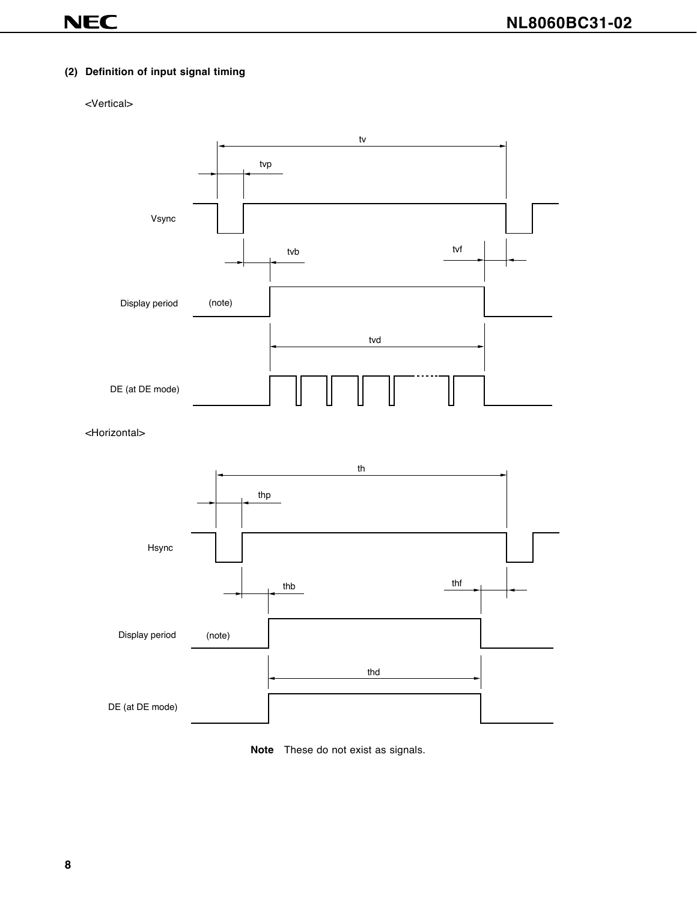# **(2) Definition of input signal timing**

#### <Vertical>



<Horizontal>



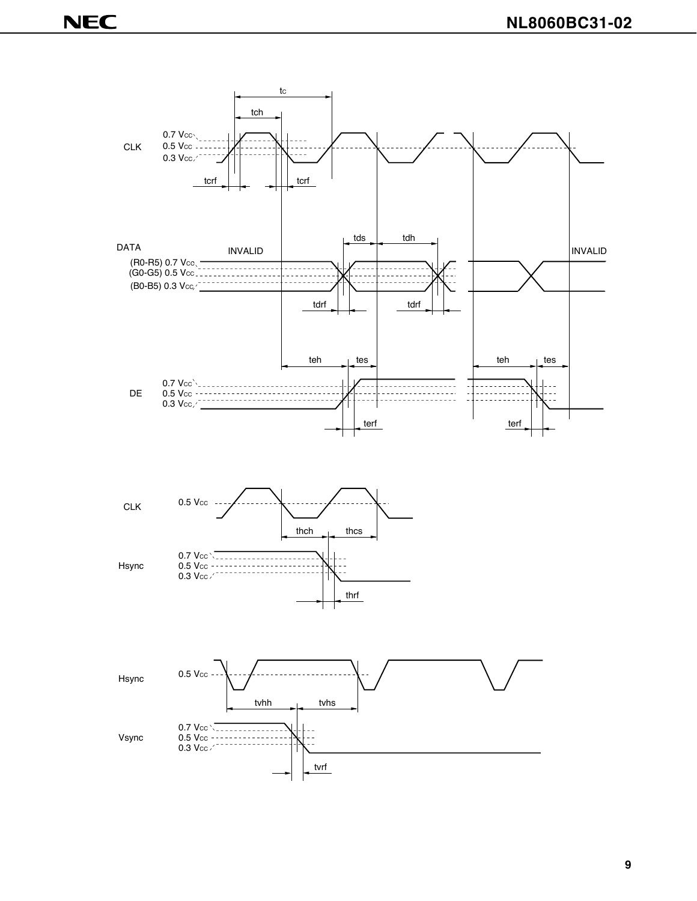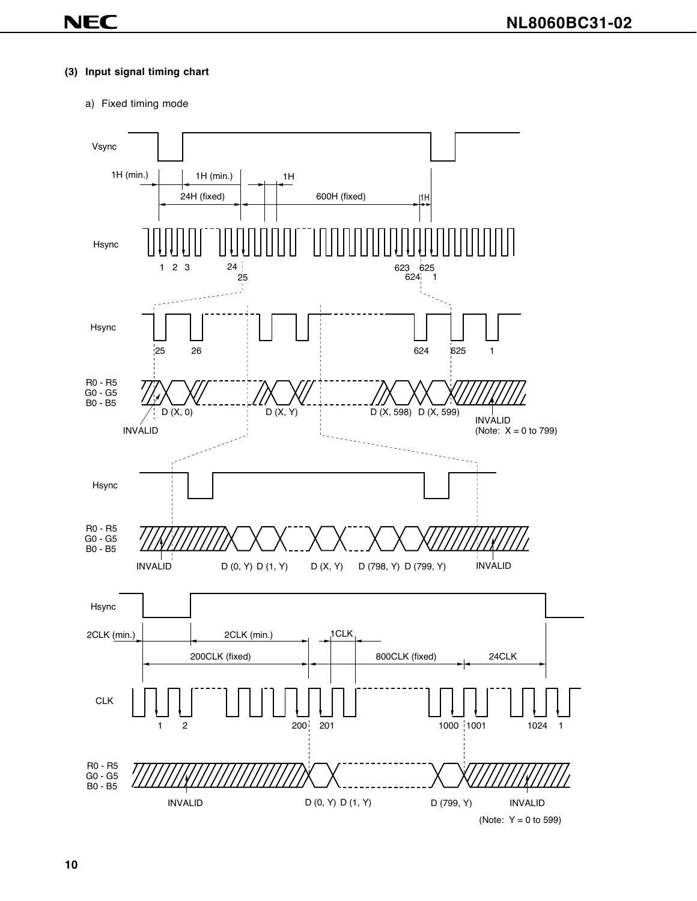#### **(3) Input signal timing chart**

a) Fixed timing mode

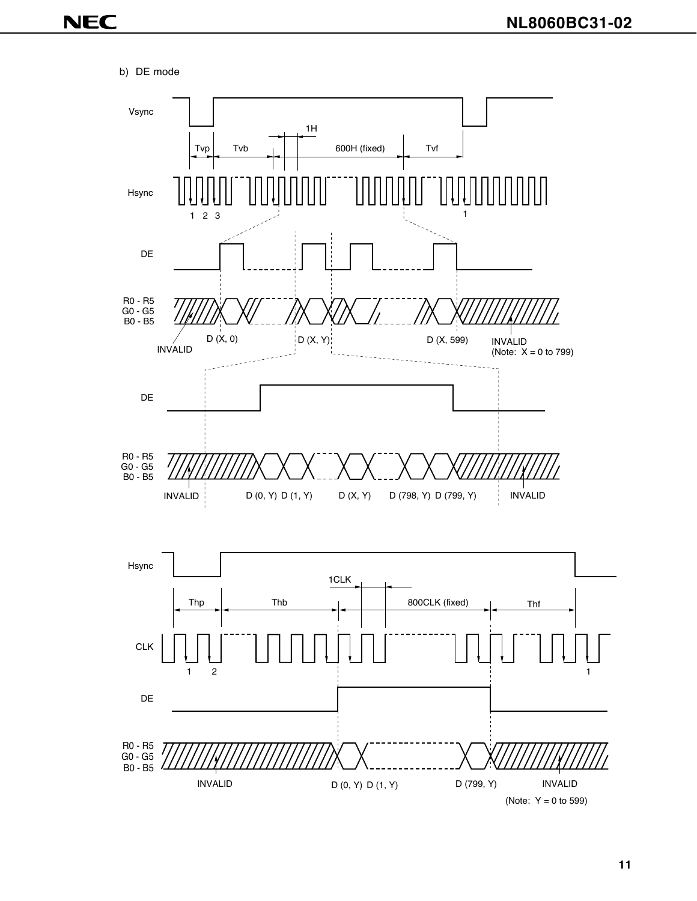b) DE mode

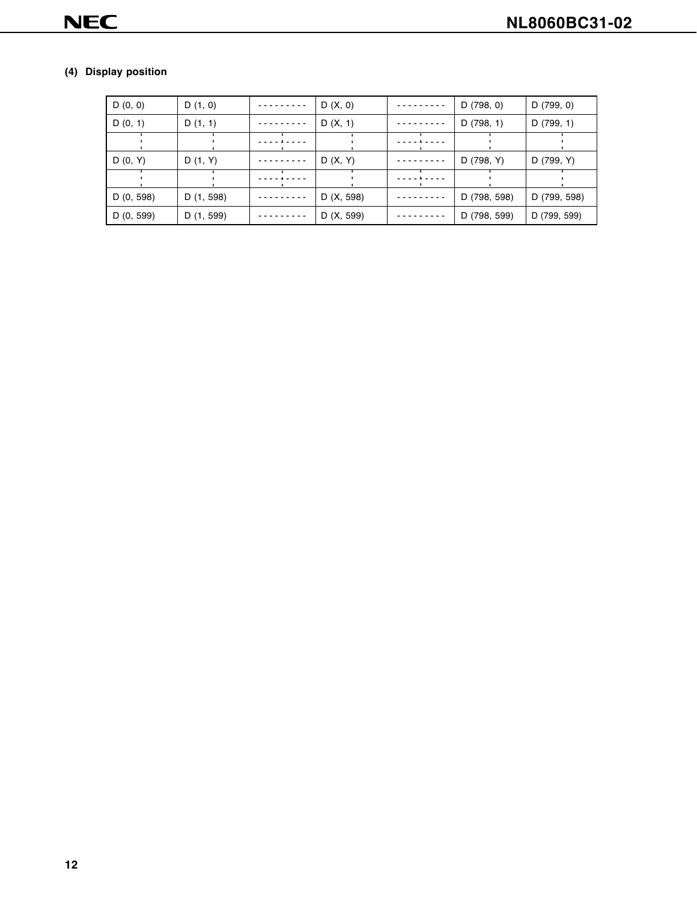# **(4) Display position**

| D(0, 0)    | D(1, 0)    | D(X, 0)    | D (798, 0)   | D(799, 0)    |
|------------|------------|------------|--------------|--------------|
| D(0, 1)    | D(1, 1)    | D(X, 1)    | D(798, 1)    | D(799, 1)    |
|            |            |            |              |              |
| D(0, Y)    | D(1, Y)    | D(X, Y)    | D (798, Y)   | D (799, Y)   |
|            |            |            |              |              |
| D (0, 598) | D (1, 598) | D (X, 598) | D (798, 598) | D (799, 598) |
| D (0, 599) | D (1, 599) | D (X, 599) | D (798, 599) | D (799, 599) |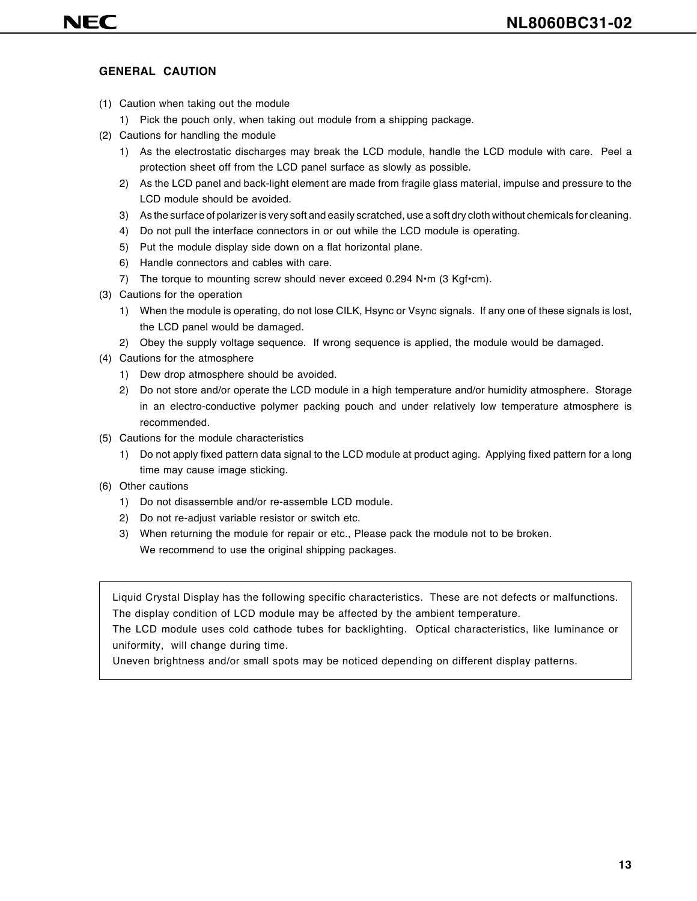## **GENERAL CAUTION**

- (1) Caution when taking out the module
	- 1) Pick the pouch only, when taking out module from a shipping package.
- (2) Cautions for handling the module
	- 1) As the electrostatic discharges may break the LCD module, handle the LCD module with care. Peel a protection sheet off from the LCD panel surface as slowly as possible.
	- 2) As the LCD panel and back-light element are made from fragile glass material, impulse and pressure to the LCD module should be avoided.
	- 3) As the surface of polarizer is very soft and easily scratched, use a soft dry cloth without chemicals for cleaning.
	- 4) Do not pull the interface connectors in or out while the LCD module is operating.
	- 5) Put the module display side down on a flat horizontal plane.
	- 6) Handle connectors and cables with care.
	- 7) The torque to mounting screw should never exceed  $0.294$  N $\cdot$ m (3 Kgf $\cdot$ cm).
- (3) Cautions for the operation
	- 1) When the module is operating, do not lose CILK, Hsync or Vsync signals. If any one of these signals is lost, the LCD panel would be damaged.
	- 2) Obey the supply voltage sequence. If wrong sequence is applied, the module would be damaged.
- (4) Cautions for the atmosphere
	- 1) Dew drop atmosphere should be avoided.
	- 2) Do not store and/or operate the LCD module in a high temperature and/or humidity atmosphere. Storage in an electro-conductive polymer packing pouch and under relatively low temperature atmosphere is recommended.
- (5) Cautions for the module characteristics
	- 1) Do not apply fixed pattern data signal to the LCD module at product aging. Applying fixed pattern for a long time may cause image sticking.
- (6) Other cautions
	- 1) Do not disassemble and/or re-assemble LCD module.
	- 2) Do not re-adjust variable resistor or switch etc.
	- 3) When returning the module for repair or etc., Please pack the module not to be broken. We recommend to use the original shipping packages.

Liquid Crystal Display has the following specific characteristics. These are not defects or malfunctions. The display condition of LCD module may be affected by the ambient temperature.

The LCD module uses cold cathode tubes for backlighting. Optical characteristics, like luminance or uniformity, will change during time.

Uneven brightness and/or small spots may be noticed depending on different display patterns.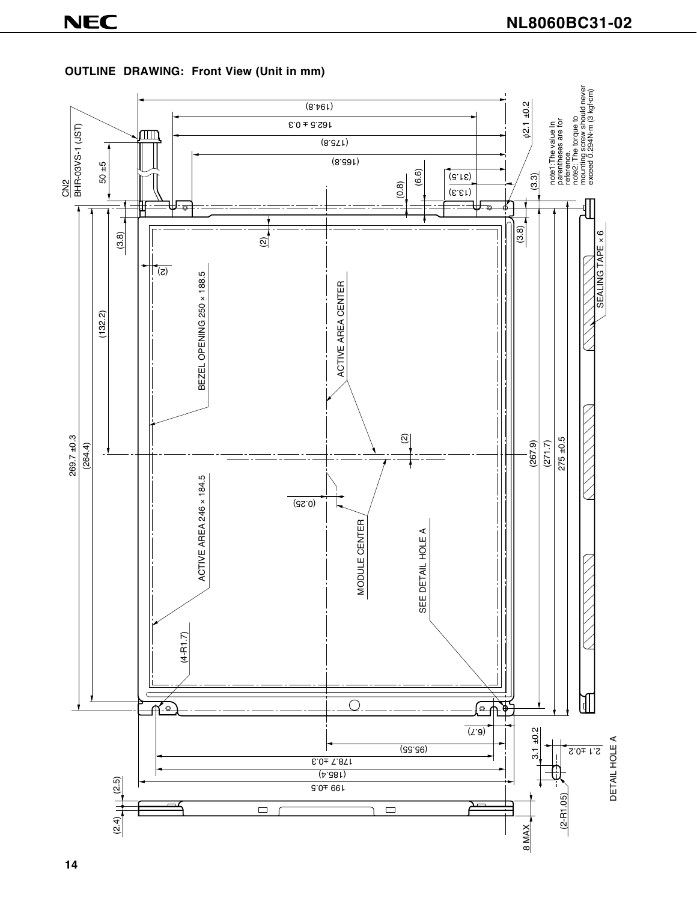

# **OUTLINE DRAWING: Front View (Unit in mm)**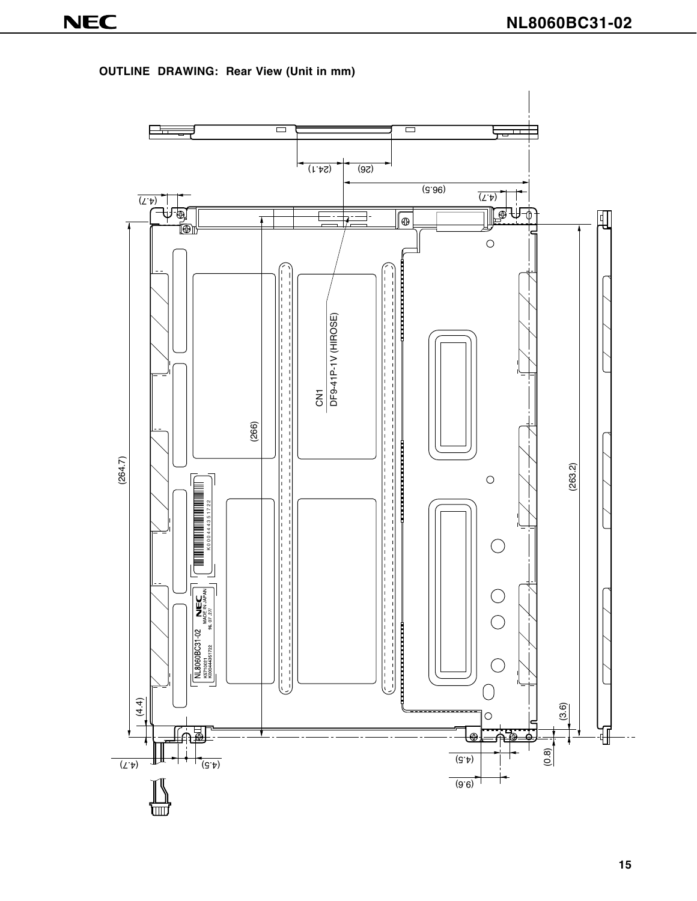

**OUTLINE DRAWING: Rear View (Unit in mm)**